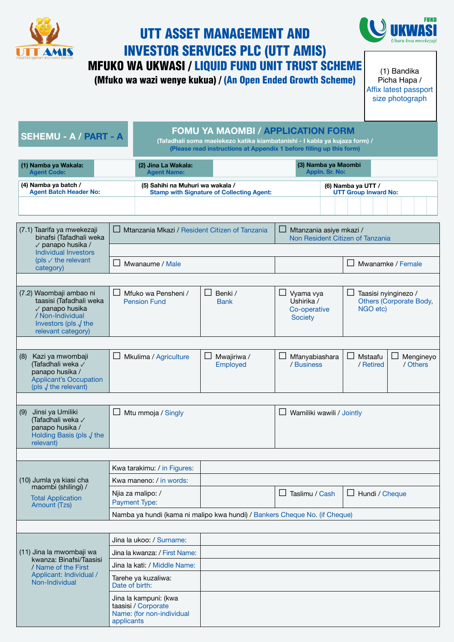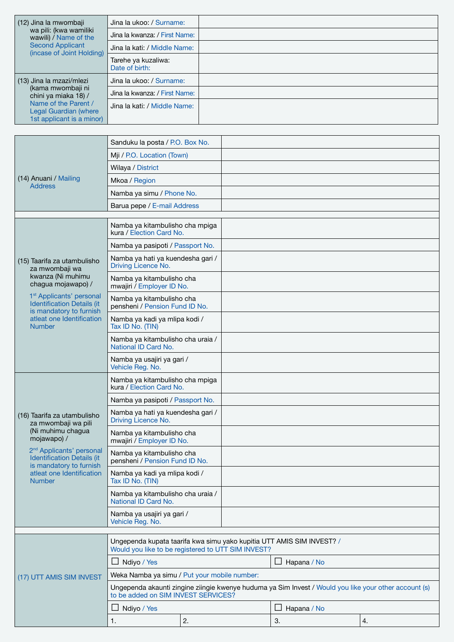| (12) Jina la mwombaji<br>wa pili: (kwa wamiliki<br>wawili) / Name of the<br><b>Second Applicant</b><br>(incase of Joint Holding) | Jina la ukoo: / Surname:              |  |
|----------------------------------------------------------------------------------------------------------------------------------|---------------------------------------|--|
|                                                                                                                                  | Jina la kwanza: / First Name:         |  |
|                                                                                                                                  | Jina la kati: / Middle Name:          |  |
|                                                                                                                                  | Tarehe ya kuzaliwa:<br>Date of birth: |  |
| (13) Jina la mzazi/mlezi                                                                                                         | Jina la ukoo: / Surname:              |  |
| (kama mwombaji ni<br>chini ya miaka 18) /<br>Name of the Parent /<br>Legal Guardian (where<br>1st applicant is a minor)          | Jina la kwanza: / First Name:         |  |
|                                                                                                                                  | Jina la kati: / Middle Name:          |  |

|                                                                                                      | Sanduku la posta / P.O. Box No.                                                                                                              |    |             |                  |  |    |  |
|------------------------------------------------------------------------------------------------------|----------------------------------------------------------------------------------------------------------------------------------------------|----|-------------|------------------|--|----|--|
| (14) Anuani / Mailing<br><b>Address</b>                                                              | Mji / P.O. Location (Town)                                                                                                                   |    |             |                  |  |    |  |
|                                                                                                      | Wilaya / District                                                                                                                            |    |             |                  |  |    |  |
|                                                                                                      | Mkoa / Region                                                                                                                                |    |             |                  |  |    |  |
|                                                                                                      | Namba ya simu / Phone No.                                                                                                                    |    |             |                  |  |    |  |
|                                                                                                      | Barua pepe / E-mail Address                                                                                                                  |    |             |                  |  |    |  |
|                                                                                                      |                                                                                                                                              |    |             |                  |  |    |  |
|                                                                                                      | Namba ya kitambulisho cha mpiga<br>kura / Election Card No.                                                                                  |    |             |                  |  |    |  |
| (15) Taarifa za utambulisho<br>za mwombaji wa<br>kwanza (Ni muhimu<br>chagua mojawapo) /             | Namba ya pasipoti / Passport No.                                                                                                             |    |             |                  |  |    |  |
|                                                                                                      | Namba ya hati ya kuendesha gari /<br>Driving Licence No.                                                                                     |    |             |                  |  |    |  |
|                                                                                                      | Namba ya kitambulisho cha<br>mwajiri / Employer ID No.                                                                                       |    |             |                  |  |    |  |
| 1 <sup>st</sup> Applicants' personal<br><b>Identification Details (it</b><br>is mandatory to furnish | Namba ya kitambulisho cha<br>pensheni / Pension Fund ID No.                                                                                  |    |             |                  |  |    |  |
| atleat one Identification<br><b>Number</b>                                                           | Namba ya kadi ya mlipa kodi /<br>Tax ID No. (TIN)                                                                                            |    |             |                  |  |    |  |
|                                                                                                      | Namba ya kitambulisho cha uraia /<br>National ID Card No.                                                                                    |    |             |                  |  |    |  |
|                                                                                                      | Namba ya usajiri ya gari /<br>Vehicle Reg. No.                                                                                               |    |             |                  |  |    |  |
|                                                                                                      | Namba ya kitambulisho cha mpiga<br>kura / Election Card No.                                                                                  |    |             |                  |  |    |  |
| (16) Taarifa za utambulisho<br>za mwombaji wa pili<br>(Ni muhimu chagua<br>mojawapo) /               | Namba ya pasipoti / Passport No.                                                                                                             |    |             |                  |  |    |  |
|                                                                                                      | Namba ya hati ya kuendesha gari /<br>Driving Licence No.                                                                                     |    |             |                  |  |    |  |
|                                                                                                      | Namba ya kitambulisho cha<br>mwajiri / Employer ID No.                                                                                       |    |             |                  |  |    |  |
| 2 <sup>nd</sup> Applicants' personal<br><b>Identification Details (it</b><br>is mandatory to furnish | Namba ya kitambulisho cha<br>pensheni / Pension Fund ID No.                                                                                  |    |             |                  |  |    |  |
| atleat one Identification<br><b>Number</b>                                                           | Namba ya kadi ya mlipa kodi /<br>Tax ID No. (TIN)                                                                                            |    |             |                  |  |    |  |
|                                                                                                      | Namba ya kitambulisho cha uraia /<br>National ID Card No.                                                                                    |    |             |                  |  |    |  |
|                                                                                                      | Namba ya usajiri ya gari /<br>Vehicle Reg. No.                                                                                               |    |             |                  |  |    |  |
|                                                                                                      |                                                                                                                                              |    |             |                  |  |    |  |
|                                                                                                      | Ungependa kupata taarifa kwa simu yako kupitia UTT AMIS SIM INVEST? /<br>Would you like to be registered to UTT SIM INVEST?                  |    |             |                  |  |    |  |
|                                                                                                      | Ndiyo / Yes                                                                                                                                  |    |             | ப<br>Hapana / No |  |    |  |
| (17) UTT AMIS SIM INVEST                                                                             | Weka Namba ya simu / Put your mobile number:                                                                                                 |    |             |                  |  |    |  |
|                                                                                                      | Ungependa akaunti zingine ziingie kwenye huduma ya Sim Invest / Would you like your other account (s)<br>to be added on SIM INVEST SERVICES? |    |             |                  |  |    |  |
|                                                                                                      | Ndiyo / Yes                                                                                                                                  |    | Hapana / No |                  |  |    |  |
|                                                                                                      | 1.                                                                                                                                           | 2. |             | 3.               |  | 4. |  |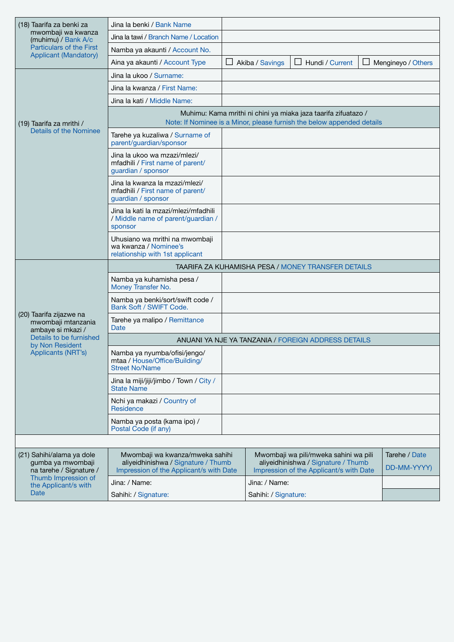| (18) Taarifa za benki za<br>mwombaji wa kwanza<br>(muhimu) / Bank A/c     | Jina la benki / Bank Name                                                                                                                |  |                        |                                                                                                                         |  |                              |  |
|---------------------------------------------------------------------------|------------------------------------------------------------------------------------------------------------------------------------------|--|------------------------|-------------------------------------------------------------------------------------------------------------------------|--|------------------------------|--|
|                                                                           | Jina la tawi / Branch Name / Location                                                                                                    |  |                        |                                                                                                                         |  |                              |  |
| <b>Particulars of the First</b><br><b>Applicant (Mandatory)</b>           | Namba ya akaunti / Account No.                                                                                                           |  |                        |                                                                                                                         |  |                              |  |
|                                                                           | Aina ya akaunti / Account Type                                                                                                           |  | $\Box$ Akiba / Savings | $\Box$ Hundi / Current                                                                                                  |  | $\Box$ Mengineyo / Others    |  |
|                                                                           | Jina la ukoo / Surname:                                                                                                                  |  |                        |                                                                                                                         |  |                              |  |
|                                                                           | Jina la kwanza / First Name:                                                                                                             |  |                        |                                                                                                                         |  |                              |  |
|                                                                           | Jina la kati / Middle Name:                                                                                                              |  |                        |                                                                                                                         |  |                              |  |
| (19) Taarifa za mrithi /                                                  | Muhimu: Kama mrithi ni chini ya miaka jaza taarifa zifuatazo /<br>Note: If Nominee is a Minor, please furnish the below appended details |  |                        |                                                                                                                         |  |                              |  |
| Details of the Nominee                                                    | Tarehe ya kuzaliwa / Surname of<br>parent/guardian/sponsor                                                                               |  |                        |                                                                                                                         |  |                              |  |
|                                                                           | Jina la ukoo wa mzazi/mlezi/<br>mfadhili / First name of parent/<br>guardian / sponsor                                                   |  |                        |                                                                                                                         |  |                              |  |
|                                                                           | Jina la kwanza la mzazi/mlezi/<br>mfadhili / First name of parent/<br>guardian / sponsor                                                 |  |                        |                                                                                                                         |  |                              |  |
|                                                                           | Jina la kati la mzazi/mlezi/mfadhili<br>/ Middle name of parent/guardian /<br>sponsor                                                    |  |                        |                                                                                                                         |  |                              |  |
|                                                                           | Uhusiano wa mrithi na mwombaji<br>wa kwanza / Nominee's<br>relationship with 1st applicant                                               |  |                        |                                                                                                                         |  |                              |  |
|                                                                           |                                                                                                                                          |  |                        |                                                                                                                         |  |                              |  |
|                                                                           |                                                                                                                                          |  |                        | TAARIFA ZA KUHAMISHA PESA / MONEY TRANSFER DETAILS                                                                      |  |                              |  |
|                                                                           | Namba ya kuhamisha pesa /<br>Money Transfer No.                                                                                          |  |                        |                                                                                                                         |  |                              |  |
|                                                                           | Namba ya benki/sort/swift code /<br>Bank Soft / SWIFT Code.                                                                              |  |                        |                                                                                                                         |  |                              |  |
| (20) Taarifa zijazwe na<br>mwombaji mtanzania<br>ambaye si mkazi /        | Tarehe ya malipo / Remittance<br>Date                                                                                                    |  |                        |                                                                                                                         |  |                              |  |
| Details to be furnished                                                   |                                                                                                                                          |  |                        | ANUANI YA NJE YA TANZANIA / FOREIGN ADDRESS DETAILS                                                                     |  |                              |  |
| by Non Resident<br><b>Applicants (NRT's)</b>                              | Namba ya nyumba/ofisi/jengo/<br>mtaa / House/Office/Building/<br><b>Street No/Name</b>                                                   |  |                        |                                                                                                                         |  |                              |  |
|                                                                           | Jina la miji/jiji/jimbo / Town / City /<br><b>State Name</b>                                                                             |  |                        |                                                                                                                         |  |                              |  |
|                                                                           | Nchi ya makazi / Country of<br>Residence                                                                                                 |  |                        |                                                                                                                         |  |                              |  |
|                                                                           | Namba ya posta (kama ipo) /<br>Postal Code (if any)                                                                                      |  |                        |                                                                                                                         |  |                              |  |
|                                                                           |                                                                                                                                          |  |                        |                                                                                                                         |  |                              |  |
| (21) Sahihi/alama ya dole<br>gumba ya mwombaji<br>na tarehe / Signature / | Mwombaji wa kwanza/mweka sahihi<br>aliyeidhinishwa / Signature / Thumb<br>Impression of the Applicant/s with Date                        |  |                        | Mwombaji wa pili/mweka sahini wa pili<br>aliyeidhinishwa / Signature / Thumb<br>Impression of the Applicant/s with Date |  | Tarehe / Date<br>DD-MM-YYYY) |  |
| Thumb Impression of<br>the Applicant/s with                               | Jina: / Name:                                                                                                                            |  | Jina: / Name:          |                                                                                                                         |  |                              |  |